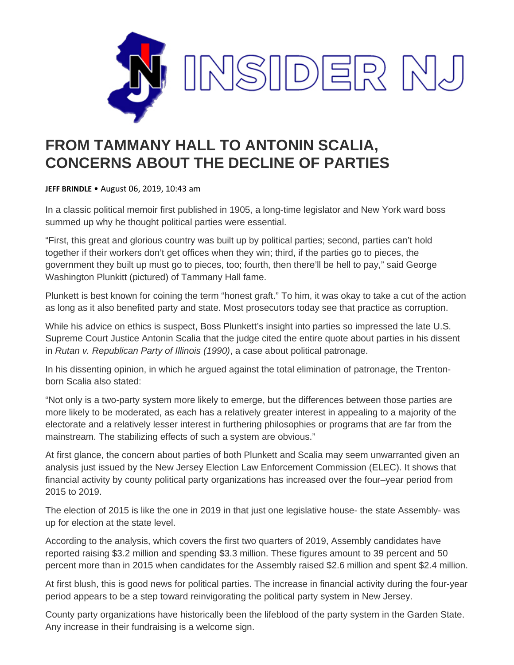

## **FROM TAMMANY HALL TO ANTONIN SCALIA, CONCERNS ABOUT THE DECLINE OF PARTIES**

**JEFF BRINDLE** • August 06, 2019, 10:43 am

In a classic political memoir first published in 1905, a long-time legislator and New York ward boss summed up why he thought political parties were essential.

"First, this great and glorious country was built up by political parties; second, parties can't hold together if their workers don't get offices when they win; third, if the parties go to pieces, the government they built up must go to pieces, too; fourth, then there'll be hell to pay," said George Washington Plunkitt (pictured) of Tammany Hall fame.

Plunkett is best known for coining the term "honest graft." To him, it was okay to take a cut of the action as long as it also benefited party and state. Most prosecutors today see that practice as corruption.

While his advice on ethics is suspect, Boss Plunkett's insight into parties so impressed the late U.S. Supreme Court Justice Antonin Scalia that the judge cited the entire quote about parties in his dissent in *Rutan v. Republican Party of Illinois (1990)*, a case about political patronage.

In his dissenting opinion, in which he argued against the total elimination of patronage, the Trentonborn Scalia also stated:

"Not only is a two-party system more likely to emerge, but the differences between those parties are more likely to be moderated, as each has a relatively greater interest in appealing to a majority of the electorate and a relatively lesser interest in furthering philosophies or programs that are far from the mainstream. The stabilizing effects of such a system are obvious."

At first glance, the concern about parties of both Plunkett and Scalia may seem unwarranted given an analysis just issued by the New Jersey Election Law Enforcement Commission (ELEC). It shows that financial activity by county political party organizations has increased over the four–year period from 2015 to 2019.

The election of 2015 is like the one in 2019 in that just one legislative house- the state Assembly- was up for election at the state level.

According to the analysis, which covers the first two quarters of 2019, Assembly candidates have reported raising \$3.2 million and spending \$3.3 million. These figures amount to 39 percent and 50 percent more than in 2015 when candidates for the Assembly raised \$2.6 million and spent \$2.4 million.

At first blush, this is good news for political parties. The increase in financial activity during the four-year period appears to be a step toward reinvigorating the political party system in New Jersey.

County party organizations have historically been the lifeblood of the party system in the Garden State. Any increase in their fundraising is a welcome sign.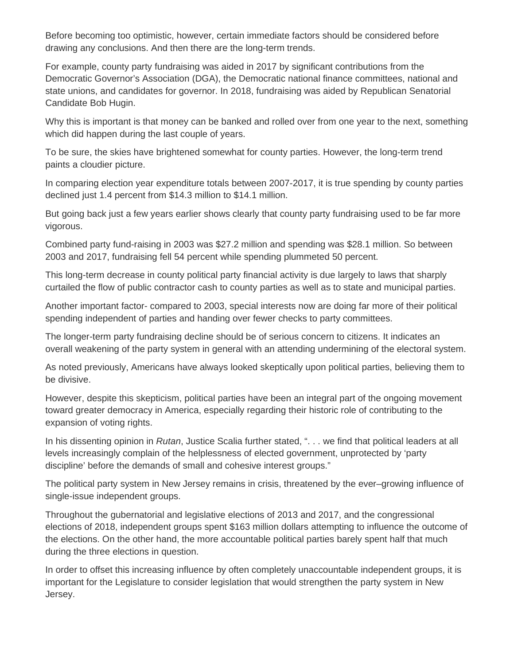Before becoming too optimistic, however, certain immediate factors should be considered before drawing any conclusions. And then there are the long-term trends.

For example, county party fundraising was aided in 2017 by significant contributions from the Democratic Governor's Association (DGA), the Democratic national finance committees, national and state unions, and candidates for governor. In 2018, fundraising was aided by Republican Senatorial Candidate Bob Hugin.

Why this is important is that money can be banked and rolled over from one year to the next, something which did happen during the last couple of years.

To be sure, the skies have brightened somewhat for county parties. However, the long-term trend paints a cloudier picture.

In comparing election year expenditure totals between 2007-2017, it is true spending by county parties declined just 1.4 percent from \$14.3 million to \$14.1 million.

But going back just a few years earlier shows clearly that county party fundraising used to be far more vigorous.

Combined party fund-raising in 2003 was \$27.2 million and spending was \$28.1 million. So between 2003 and 2017, fundraising fell 54 percent while spending plummeted 50 percent.

This long-term decrease in county political party financial activity is due largely to laws that sharply curtailed the flow of public contractor cash to county parties as well as to state and municipal parties.

Another important factor- compared to 2003, special interests now are doing far more of their political spending independent of parties and handing over fewer checks to party committees.

The longer-term party fundraising decline should be of serious concern to citizens. It indicates an overall weakening of the party system in general with an attending undermining of the electoral system.

As noted previously, Americans have always looked skeptically upon political parties, believing them to be divisive.

However, despite this skepticism, political parties have been an integral part of the ongoing movement toward greater democracy in America, especially regarding their historic role of contributing to the expansion of voting rights.

In his dissenting opinion in *Rutan*, Justice Scalia further stated, ". . . we find that political leaders at all levels increasingly complain of the helplessness of elected government, unprotected by 'party discipline' before the demands of small and cohesive interest groups."

The political party system in New Jersey remains in crisis, threatened by the ever–growing influence of single-issue independent groups.

Throughout the gubernatorial and legislative elections of 2013 and 2017, and the congressional elections of 2018, independent groups spent \$163 million dollars attempting to influence the outcome of the elections. On the other hand, the more accountable political parties barely spent half that much during the three elections in question.

In order to offset this increasing influence by often completely unaccountable independent groups, it is important for the Legislature to consider legislation that would strengthen the party system in New Jersey.